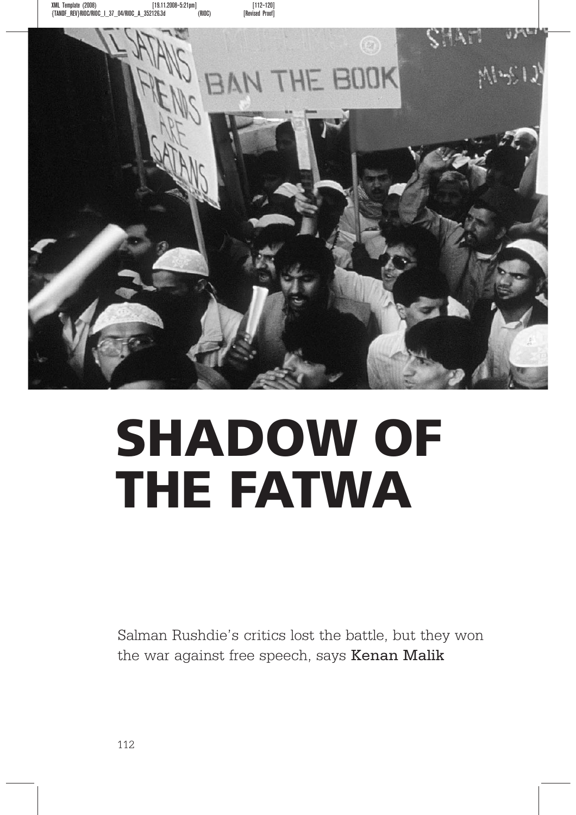

# SHADOW OF THE FATWA

Salman Rushdie's critics lost the battle, but they won the war against free speech, says Kenan Malik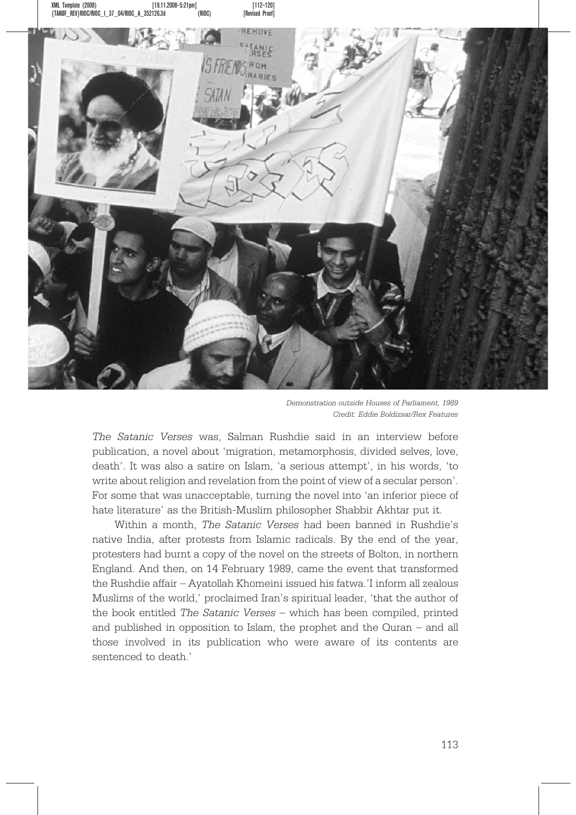

Demonstration outside Houses of Parliament, 1989 Credit: Eddie Boldizsar/Rex Features

The Satanic Verses was, Salman Rushdie said in an interview before publication, a novel about 'migration, metamorphosis, divided selves, love, death'. It was also a satire on Islam, 'a serious attempt', in his words, 'to write about religion and revelation from the point of view of a secular person'. For some that was unacceptable, turning the novel into 'an inferior piece of hate literature' as the British-Muslim philosopher Shabbir Akhtar put it.

Within a month, The Satanic Verses had been banned in Rushdie's native India, after protests from Islamic radicals. By the end of the year, protesters had burnt a copy of the novel on the streets of Bolton, in northern England. And then, on 14 February 1989, came the event that transformed the Rushdie affair – Ayatollah Khomeini issued his fatwa.'I inform all zealous Muslims of the world,' proclaimed Iran's spiritual leader, 'that the author of the book entitled The Satanic Verses – which has been compiled, printed and published in opposition to Islam, the prophet and the Quran – and all those involved in its publication who were aware of its contents are sentenced to death.'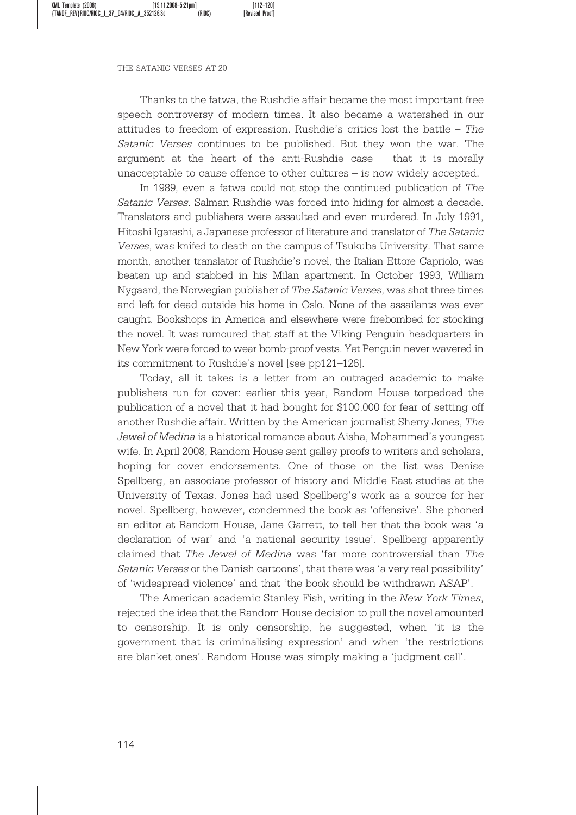Thanks to the fatwa, the Rushdie affair became the most important free speech controversy of modern times. It also became a watershed in our attitudes to freedom of expression. Rushdie's critics lost the battle – The Satanic Verses continues to be published. But they won the war. The argument at the heart of the anti-Rushdie case – that it is morally unacceptable to cause offence to other cultures – is now widely accepted.

In 1989, even a fatwa could not stop the continued publication of The Satanic Verses. Salman Rushdie was forced into hiding for almost a decade. Translators and publishers were assaulted and even murdered. In July 1991, Hitoshi Igarashi, a Japanese professor of literature and translator of The Satanic Verses, was knifed to death on the campus of Tsukuba University. That same month, another translator of Rushdie's novel, the Italian Ettore Capriolo, was beaten up and stabbed in his Milan apartment. In October 1993, William Nygaard, the Norwegian publisher of The Satanic Verses, was shot three times and left for dead outside his home in Oslo. None of the assailants was ever caught. Bookshops in America and elsewhere were firebombed for stocking the novel. It was rumoured that staff at the Viking Penguin headquarters in New York were forced to wear bomb-proof vests. Yet Penguin never wavered in its commitment to Rushdie's novel [see pp121–126].

Today, all it takes is a letter from an outraged academic to make publishers run for cover: earlier this year, Random House torpedoed the publication of a novel that it had bought for \$100,000 for fear of setting off another Rushdie affair. Written by the American journalist Sherry Jones, The Jewel of Medina is a historical romance about Aisha, Mohammed's youngest wife. In April 2008, Random House sent galley proofs to writers and scholars, hoping for cover endorsements. One of those on the list was Denise Spellberg, an associate professor of history and Middle East studies at the University of Texas. Jones had used Spellberg's work as a source for her novel. Spellberg, however, condemned the book as 'offensive'. She phoned an editor at Random House, Jane Garrett, to tell her that the book was 'a declaration of war' and 'a national security issue'. Spellberg apparently claimed that The Jewel of Medina was 'far more controversial than The Satanic Verses or the Danish cartoons', that there was 'a very real possibility' of 'widespread violence' and that 'the book should be withdrawn ASAP'.

The American academic Stanley Fish, writing in the New York Times, rejected the idea that the Random House decision to pull the novel amounted to censorship. It is only censorship, he suggested, when 'it is the government that is criminalising expression' and when 'the restrictions are blanket ones'. Random House was simply making a 'judgment call'.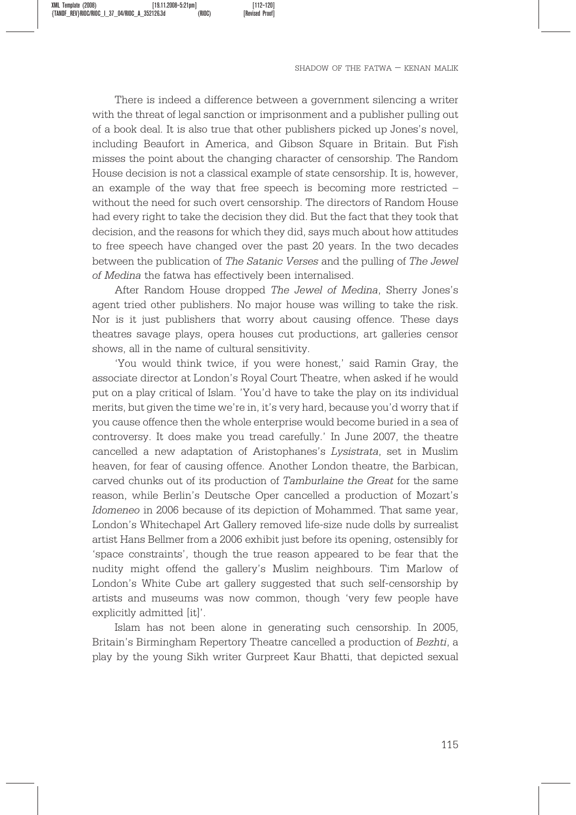SHADOW OF THE FATWA  $-$  KENAN MALIK

There is indeed a difference between a government silencing a writer with the threat of legal sanction or imprisonment and a publisher pulling out of a book deal. It is also true that other publishers picked up Jones's novel, including Beaufort in America, and Gibson Square in Britain. But Fish misses the point about the changing character of censorship. The Random House decision is not a classical example of state censorship. It is, however, an example of the way that free speech is becoming more restricted – without the need for such overt censorship. The directors of Random House had every right to take the decision they did. But the fact that they took that decision, and the reasons for which they did, says much about how attitudes to free speech have changed over the past 20 years. In the two decades between the publication of The Satanic Verses and the pulling of The Jewel of Medina the fatwa has effectively been internalised.

After Random House dropped The Jewel of Medina, Sherry Jones's agent tried other publishers. No major house was willing to take the risk. Nor is it just publishers that worry about causing offence. These days theatres savage plays, opera houses cut productions, art galleries censor shows, all in the name of cultural sensitivity.

'You would think twice, if you were honest,' said Ramin Gray, the associate director at London's Royal Court Theatre, when asked if he would put on a play critical of Islam. 'You'd have to take the play on its individual merits, but given the time we're in, it's very hard, because you'd worry that if you cause offence then the whole enterprise would become buried in a sea of controversy. It does make you tread carefully.' In June 2007, the theatre cancelled a new adaptation of Aristophanes's Lysistrata, set in Muslim heaven, for fear of causing offence. Another London theatre, the Barbican, carved chunks out of its production of Tamburlaine the Great for the same reason, while Berlin's Deutsche Oper cancelled a production of Mozart's Idomeneo in 2006 because of its depiction of Mohammed. That same year, London's Whitechapel Art Gallery removed life-size nude dolls by surrealist artist Hans Bellmer from a 2006 exhibit just before its opening, ostensibly for 'space constraints', though the true reason appeared to be fear that the nudity might offend the gallery's Muslim neighbours. Tim Marlow of London's White Cube art gallery suggested that such self-censorship by artists and museums was now common, though 'very few people have explicitly admitted [it]'.

Islam has not been alone in generating such censorship. In 2005, Britain's Birmingham Repertory Theatre cancelled a production of Bezhti, a play by the young Sikh writer Gurpreet Kaur Bhatti, that depicted sexual

115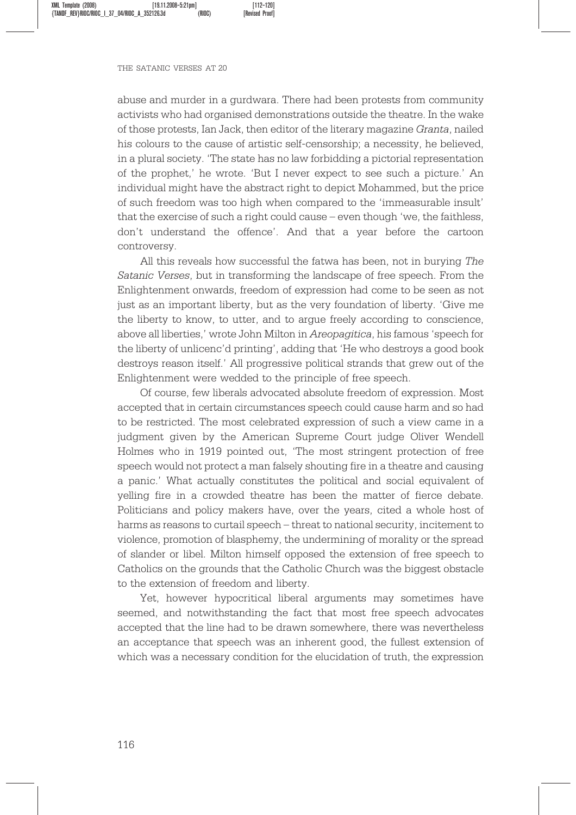abuse and murder in a gurdwara. There had been protests from community activists who had organised demonstrations outside the theatre. In the wake of those protests, Ian Jack, then editor of the literary magazine Granta, nailed his colours to the cause of artistic self-censorship; a necessity, he believed, in a plural society. 'The state has no law forbidding a pictorial representation of the prophet,' he wrote. 'But I never expect to see such a picture.' An individual might have the abstract right to depict Mohammed, but the price of such freedom was too high when compared to the 'immeasurable insult' that the exercise of such a right could cause – even though 'we, the faithless, don't understand the offence'. And that a year before the cartoon controversy.

All this reveals how successful the fatwa has been, not in burying The Satanic Verses, but in transforming the landscape of free speech. From the Enlightenment onwards, freedom of expression had come to be seen as not just as an important liberty, but as the very foundation of liberty. 'Give me the liberty to know, to utter, and to argue freely according to conscience, above all liberties,' wrote John Milton in Areopagitica, his famous 'speech for the liberty of unlicenc'd printing', adding that 'He who destroys a good book destroys reason itself.' All progressive political strands that grew out of the Enlightenment were wedded to the principle of free speech.

Of course, few liberals advocated absolute freedom of expression. Most accepted that in certain circumstances speech could cause harm and so had to be restricted. The most celebrated expression of such a view came in a judgment given by the American Supreme Court judge Oliver Wendell Holmes who in 1919 pointed out, 'The most stringent protection of free speech would not protect a man falsely shouting fire in a theatre and causing a panic.' What actually constitutes the political and social equivalent of yelling fire in a crowded theatre has been the matter of fierce debate. Politicians and policy makers have, over the years, cited a whole host of harms as reasons to curtail speech – threat to national security, incitement to violence, promotion of blasphemy, the undermining of morality or the spread of slander or libel. Milton himself opposed the extension of free speech to Catholics on the grounds that the Catholic Church was the biggest obstacle to the extension of freedom and liberty.

Yet, however hypocritical liberal arguments may sometimes have seemed, and notwithstanding the fact that most free speech advocates accepted that the line had to be drawn somewhere, there was nevertheless an acceptance that speech was an inherent good, the fullest extension of which was a necessary condition for the elucidation of truth, the expression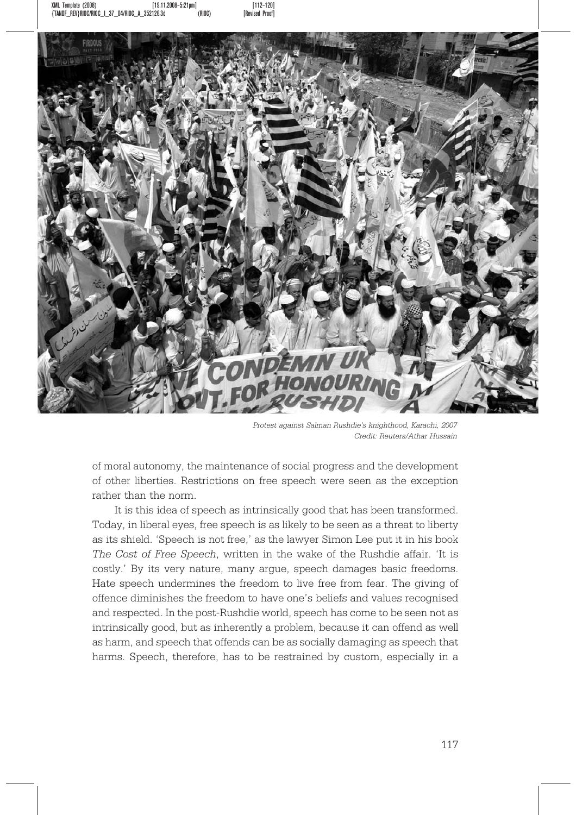



Protest against Salman Rushdie's knighthood, Karachi, 2007 Credit: Reuters/Athar Hussain

of moral autonomy, the maintenance of social progress and the development of other liberties. Restrictions on free speech were seen as the exception rather than the norm.

It is this idea of speech as intrinsically good that has been transformed. Today, in liberal eyes, free speech is as likely to be seen as a threat to liberty as its shield. 'Speech is not free,' as the lawyer Simon Lee put it in his book The Cost of Free Speech, written in the wake of the Rushdie affair. 'It is costly.' By its very nature, many argue, speech damages basic freedoms. Hate speech undermines the freedom to live free from fear. The giving of offence diminishes the freedom to have one's beliefs and values recognised and respected. In the post-Rushdie world, speech has come to be seen not as intrinsically good, but as inherently a problem, because it can offend as well as harm, and speech that offends can be as socially damaging as speech that harms. Speech, therefore, has to be restrained by custom, especially in a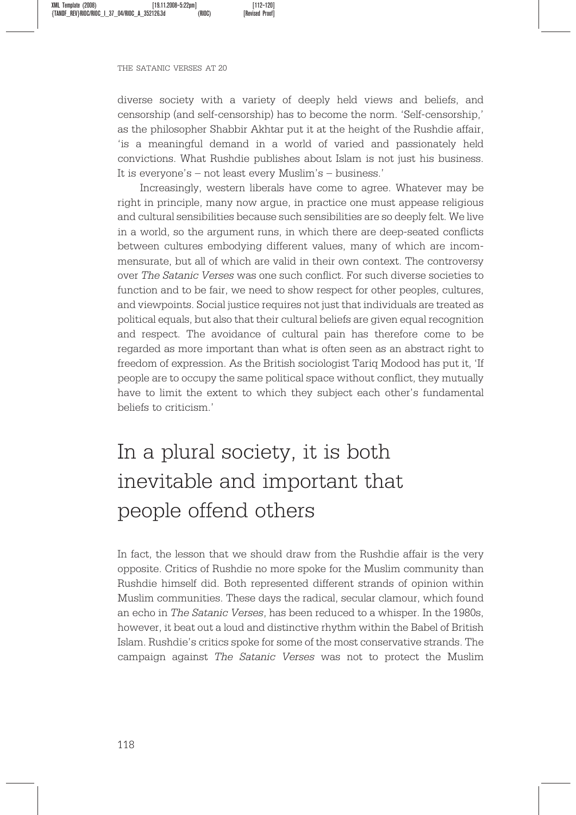diverse society with a variety of deeply held views and beliefs, and censorship (and self-censorship) has to become the norm. 'Self-censorship,' as the philosopher Shabbir Akhtar put it at the height of the Rushdie affair, 'is a meaningful demand in a world of varied and passionately held convictions. What Rushdie publishes about Islam is not just his business. It is everyone's – not least every Muslim's – business.'

Increasingly, western liberals have come to agree. Whatever may be right in principle, many now argue, in practice one must appease religious and cultural sensibilities because such sensibilities are so deeply felt. We live in a world, so the argument runs, in which there are deep-seated conflicts between cultures embodying different values, many of which are incommensurate, but all of which are valid in their own context. The controversy over The Satanic Verses was one such conflict. For such diverse societies to function and to be fair, we need to show respect for other peoples, cultures, and viewpoints. Social justice requires not just that individuals are treated as political equals, but also that their cultural beliefs are given equal recognition and respect. The avoidance of cultural pain has therefore come to be regarded as more important than what is often seen as an abstract right to freedom of expression. As the British sociologist Tariq Modood has put it, 'If people are to occupy the same political space without conflict, they mutually have to limit the extent to which they subject each other's fundamental beliefs to criticism.'

# In a plural society, it is both inevitable and important that people offend others

In fact, the lesson that we should draw from the Rushdie affair is the very opposite. Critics of Rushdie no more spoke for the Muslim community than Rushdie himself did. Both represented different strands of opinion within Muslim communities. These days the radical, secular clamour, which found an echo in The Satanic Verses, has been reduced to a whisper. In the 1980s, however, it beat out a loud and distinctive rhythm within the Babel of British Islam. Rushdie's critics spoke for some of the most conservative strands. The campaign against The Satanic Verses was not to protect the Muslim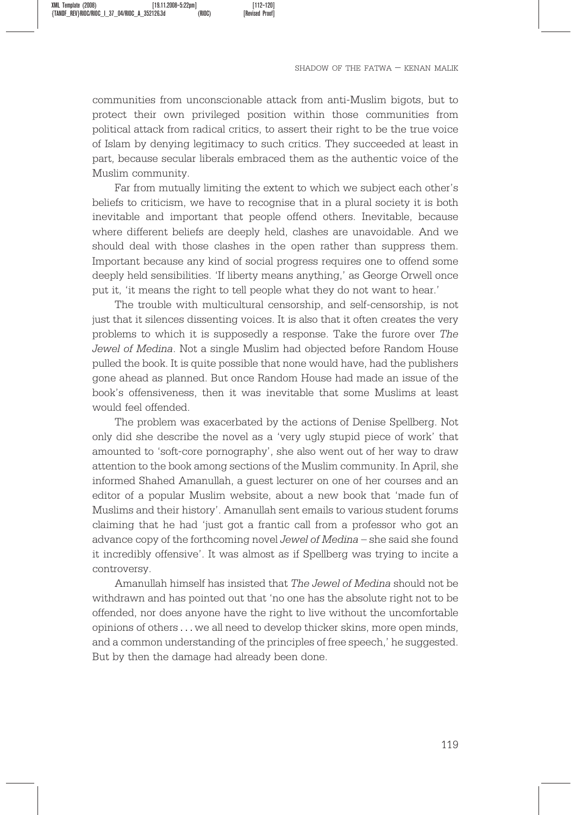SHADOW OF THE FATWA  $-$  KENAN MALIK

communities from unconscionable attack from anti-Muslim bigots, but to protect their own privileged position within those communities from political attack from radical critics, to assert their right to be the true voice of Islam by denying legitimacy to such critics. They succeeded at least in part, because secular liberals embraced them as the authentic voice of the Muslim community.

Far from mutually limiting the extent to which we subject each other's beliefs to criticism, we have to recognise that in a plural society it is both inevitable and important that people offend others. Inevitable, because where different beliefs are deeply held, clashes are unavoidable. And we should deal with those clashes in the open rather than suppress them. Important because any kind of social progress requires one to offend some deeply held sensibilities. 'If liberty means anything,' as George Orwell once put it, 'it means the right to tell people what they do not want to hear.'

The trouble with multicultural censorship, and self-censorship, is not just that it silences dissenting voices. It is also that it often creates the very problems to which it is supposedly a response. Take the furore over The Jewel of Medina. Not a single Muslim had objected before Random House pulled the book. It is quite possible that none would have, had the publishers gone ahead as planned. But once Random House had made an issue of the book's offensiveness, then it was inevitable that some Muslims at least would feel offended.

The problem was exacerbated by the actions of Denise Spellberg. Not only did she describe the novel as a 'very ugly stupid piece of work' that amounted to 'soft-core pornography', she also went out of her way to draw attention to the book among sections of the Muslim community. In April, she informed Shahed Amanullah, a guest lecturer on one of her courses and an editor of a popular Muslim website, about a new book that 'made fun of Muslims and their history'. Amanullah sent emails to various student forums claiming that he had 'just got a frantic call from a professor who got an advance copy of the forthcoming novel Jewel of Medina – she said she found it incredibly offensive'. It was almost as if Spellberg was trying to incite a controversy.

Amanullah himself has insisted that The Jewel of Medina should not be withdrawn and has pointed out that 'no one has the absolute right not to be offended, nor does anyone have the right to live without the uncomfortable opinions of others ... we all need to develop thicker skins, more open minds, and a common understanding of the principles of free speech,' he suggested. But by then the damage had already been done.